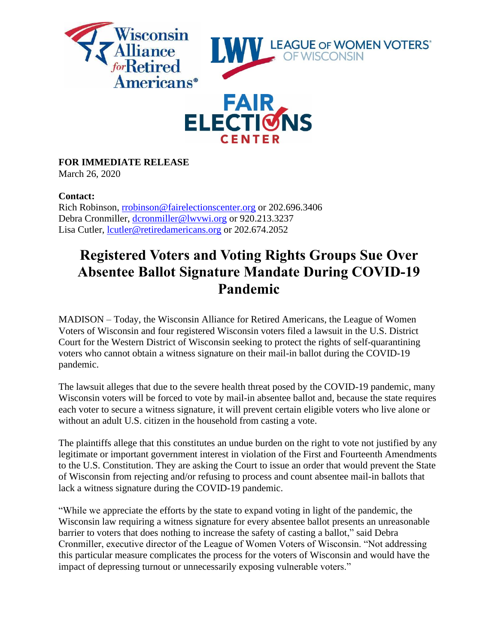

**FOR IMMEDIATE RELEASE**  March 26, 2020

**Contact:**

Rich Robinson, [rrobinson@fairelectionscenter.org](mailto:rrobinson@fairelectionscenter.org) or 202.696.3406 Debra Cronmiller, [dcronmiller@lwvwi.org](mailto:dcronmiller@lwvwi.org) or 920.213.3237 Lisa Cutler, [lcutler@retiredamericans.org](mailto:lcutler@retiredamericans.org) or 202.674.2052

## **Registered Voters and Voting Rights Groups Sue Over Absentee Ballot Signature Mandate During COVID-19 Pandemic**

MADISON – Today, the Wisconsin Alliance for Retired Americans, the League of Women Voters of Wisconsin and four registered Wisconsin voters filed a lawsuit in the U.S. District Court for the Western District of Wisconsin seeking to protect the rights of self-quarantining voters who cannot obtain a witness signature on their mail-in ballot during the COVID-19 pandemic.

The lawsuit alleges that due to the severe health threat posed by the COVID-19 pandemic, many Wisconsin voters will be forced to vote by mail-in absentee ballot and, because the state requires each voter to secure a witness signature, it will prevent certain eligible voters who live alone or without an adult U.S. citizen in the household from casting a vote.

The plaintiffs allege that this constitutes an undue burden on the right to vote not justified by any legitimate or important government interest in violation of the First and Fourteenth Amendments to the U.S. Constitution. They are asking the Court to issue an order that would prevent the State of Wisconsin from rejecting and/or refusing to process and count absentee mail-in ballots that lack a witness signature during the COVID-19 pandemic.

"While we appreciate the efforts by the state to expand voting in light of the pandemic, the Wisconsin law requiring a witness signature for every absentee ballot presents an unreasonable barrier to voters that does nothing to increase the safety of casting a ballot," said Debra Cronmiller, executive director of the League of Women Voters of Wisconsin. "Not addressing this particular measure complicates the process for the voters of Wisconsin and would have the impact of depressing turnout or unnecessarily exposing vulnerable voters."